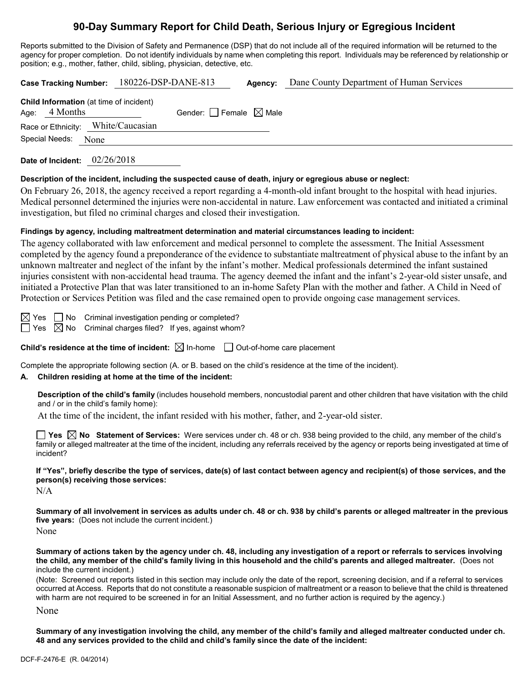# **90-Day Summary Report for Child Death, Serious Injury or Egregious Incident**

Reports submitted to the Division of Safety and Permanence (DSP) that do not include all of the required information will be returned to the agency for proper completion. Do not identify individuals by name when completing this report. Individuals may be referenced by relationship or position; e.g., mother, father, child, sibling, physician, detective, etc.

|                                                                   | Case Tracking Number: 180226-DSP-DANE-813 | Agency: | Dane County Department of Human Services |
|-------------------------------------------------------------------|-------------------------------------------|---------|------------------------------------------|
| <b>Child Information</b> (at time of incident)<br>Age: $4$ Months | Gender: Female $\boxtimes$ Male           |         |                                          |
| Race or Ethnicity: White/Caucasian                                |                                           |         |                                          |
| Special Needs: None                                               |                                           |         |                                          |
| Date of Incident:                                                 | 02/26/2018                                |         |                                          |

#### **Description of the incident, including the suspected cause of death, injury or egregious abuse or neglect:**

On February 26, 2018, the agency received a report regarding a 4-month-old infant brought to the hospital with head injuries. Medical personnel determined the injuries were non-accidental in nature. Law enforcement was contacted and initiated a criminal investigation, but filed no criminal charges and closed their investigation.

#### **Findings by agency, including maltreatment determination and material circumstances leading to incident:**

The agency collaborated with law enforcement and medical personnel to complete the assessment. The Initial Assessment completed by the agency found a preponderance of the evidence to substantiate maltreatment of physical abuse to the infant by an unknown maltreater and neglect of the infant by the infant's mother. Medical professionals determined the infant sustained injuries consistent with non-accidental head trauma. The agency deemed the infant and the infant's 2-year-old sister unsafe, and initiated a Protective Plan that was later transitioned to an in-home Safety Plan with the mother and father. A Child in Need of Protection or Services Petition was filed and the case remained open to provide ongoing case management services.

 $\boxtimes$  Yes  $\Box$  No Criminal investigation pending or completed?

 $\Box$  Yes  $\boxtimes$  No Criminal charges filed? If yes, against whom?

**Child's residence at the time of incident:**  $\boxtimes$  In-home  $\Box$  Out-of-home care placement

Complete the appropriate following section (A. or B. based on the child's residence at the time of the incident).

## **A. Children residing at home at the time of the incident:**

**Description of the child's family** (includes household members, noncustodial parent and other children that have visitation with the child and / or in the child's family home):

At the time of the incident, the infant resided with his mother, father, and 2-year-old sister.

**Yes No Statement of Services:** Were services under ch. 48 or ch. 938 being provided to the child, any member of the child's family or alleged maltreater at the time of the incident, including any referrals received by the agency or reports being investigated at time of incident?

**If "Yes", briefly describe the type of services, date(s) of last contact between agency and recipient(s) of those services, and the person(s) receiving those services:**

N/A

**Summary of all involvement in services as adults under ch. 48 or ch. 938 by child's parents or alleged maltreater in the previous five years:** (Does not include the current incident.)

None

**Summary of actions taken by the agency under ch. 48, including any investigation of a report or referrals to services involving the child, any member of the child's family living in this household and the child's parents and alleged maltreater.** (Does not include the current incident.)

(Note: Screened out reports listed in this section may include only the date of the report, screening decision, and if a referral to services occurred at Access. Reports that do not constitute a reasonable suspicion of maltreatment or a reason to believe that the child is threatened with harm are not required to be screened in for an Initial Assessment, and no further action is required by the agency.)

None

**Summary of any investigation involving the child, any member of the child's family and alleged maltreater conducted under ch. 48 and any services provided to the child and child's family since the date of the incident:**